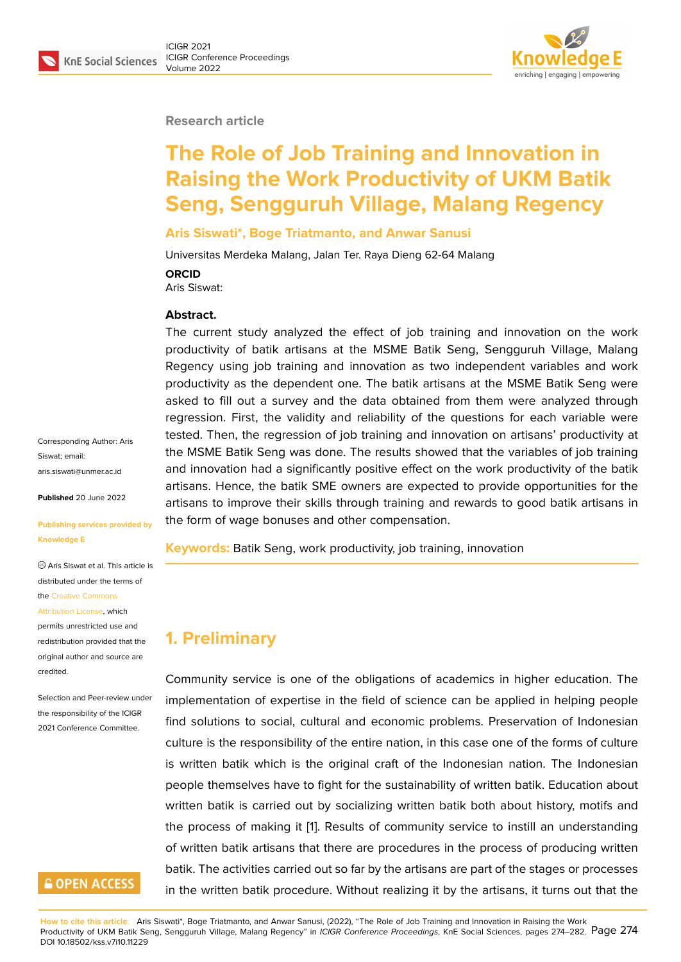#### **Research article**

# **The Role of Job Training and Innovation in Raising the Work Productivity of UKM Batik Seng, Sengguruh Village, Malang Regency**

#### **Aris Siswati\*, Boge Triatmanto, and Anwar Sanusi**

Universitas Merdeka Malang, Jalan Ter. Raya Dieng 62-64 Malang

**ORCID**

Aris Siswat:

#### **Abstract.**

The current study analyzed the effect of job training and innovation on the work productivity of batik artisans at the MSME Batik Seng, Sengguruh Village, Malang Regency using job training and innovation as two independent variables and work productivity as the dependent one. The batik artisans at the MSME Batik Seng were asked to fill out a survey and the data obtained from them were analyzed through regression. First, the validity and reliability of the questions for each variable were tested. Then, the regression of job training and innovation on artisans' productivity at the MSME Batik Seng was done. The results showed that the variables of job training and innovation had a significantly positive effect on the work productivity of the batik artisans. Hence, the batik SME owners are expected to provide opportunities for the artisans to improve their skills through training and rewards to good batik artisans in the form of wage bonuses and other compensation.

**Keywords:** Batik Seng, work productivity, job training, innovation

# **1. Preliminary**

Community service is one of the obligations of academics in higher education. The implementation of expertise in the field of science can be applied in helping people find solutions to social, cultural and economic problems. Preservation of Indonesian culture is the responsibility of the entire nation, in this case one of the forms of culture is written batik which is the original craft of the Indonesian nation. The Indonesian people themselves have to fight for the sustainability of written batik. Education about written batik is carried out by socializing written batik both about history, motifs and the process of making it [1]. Results of community service to instill an understanding of written batik artisans that there are procedures in the process of producing written batik. The activities carried out so far by the artisans are part of the stages or processes in the written batik proce[du](#page-7-0)re. Without realizing it by the artisans, it turns out that the

Corresponding Author: Aris Siswat; email: aris siswati@unmer.ac.id

**Published** 20 June 2022

#### **[Publishing services pro](mailto:aris.siswati@unmer.ac.id)vided by Knowledge E**

Aris Siswat et al. This article is distributed under the terms of the Creative Commons

#### Attribution License, which

permits unrestricted use and redistribution provided that the orig[inal author and sou](https://creativecommons.org/licenses/by/4.0/)rce are [credited.](https://creativecommons.org/licenses/by/4.0/)

Selection and Peer-review under the responsibility of the ICIGR 2021 Conference Committee.

# **GOPEN ACCESS**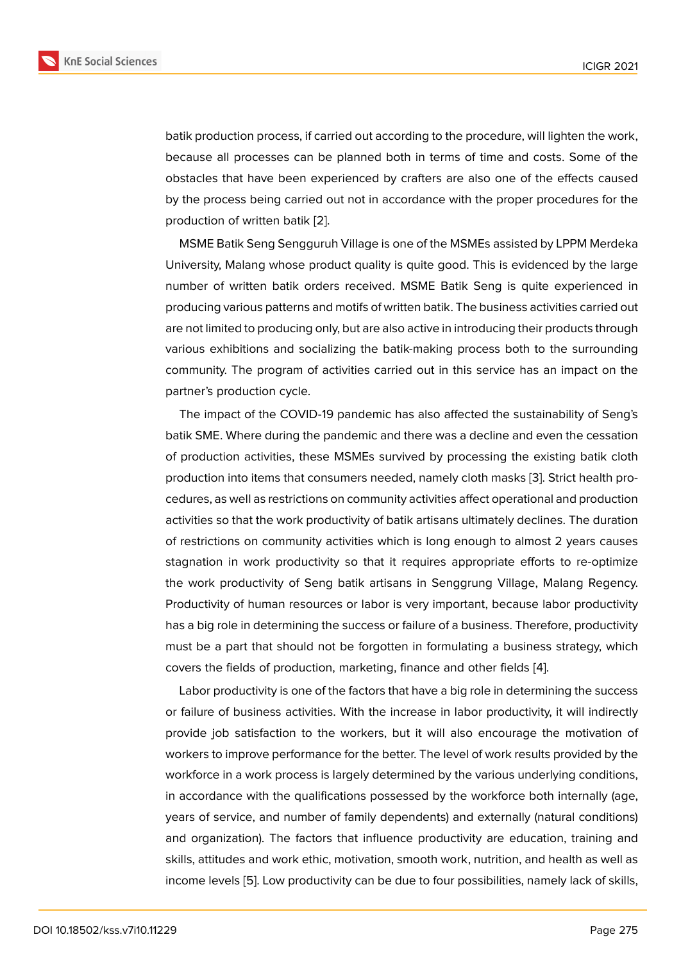batik production process, if carried out according to the procedure, will lighten the work, because all processes can be planned both in terms of time and costs. Some of the obstacles that have been experienced by crafters are also one of the effects caused by the process being carried out not in accordance with the proper procedures for the production of written batik [2].

MSME Batik Seng Sengguruh Village is one of the MSMEs assisted by LPPM Merdeka University, Malang whose product quality is quite good. This is evidenced by the large number of written batik or[de](#page-7-1)rs received. MSME Batik Seng is quite experienced in producing various patterns and motifs of written batik. The business activities carried out are not limited to producing only, but are also active in introducing their products through various exhibitions and socializing the batik-making process both to the surrounding community. The program of activities carried out in this service has an impact on the partner's production cycle.

The impact of the COVID-19 pandemic has also affected the sustainability of Seng's batik SME. Where during the pandemic and there was a decline and even the cessation of production activities, these MSMEs survived by processing the existing batik cloth production into items that consumers needed, namely cloth masks [3]. Strict health procedures, as well as restrictions on community activities affect operational and production activities so that the work productivity of batik artisans ultimately declines. The duration of restrictions on community activities which is long enough to al[mo](#page-7-2)st 2 years causes stagnation in work productivity so that it requires appropriate efforts to re-optimize the work productivity of Seng batik artisans in Senggrung Village, Malang Regency. Productivity of human resources or labor is very important, because labor productivity has a big role in determining the success or failure of a business. Therefore, productivity must be a part that should not be forgotten in formulating a business strategy, which covers the fields of production, marketing, finance and other fields [4].

Labor productivity is one of the factors that have a big role in determining the success or failure of business activities. With the increase in labor productivity, it will indirectly provide job satisfaction to the workers, but it will also encourag[e t](#page-7-3)he motivation of workers to improve performance for the better. The level of work results provided by the workforce in a work process is largely determined by the various underlying conditions, in accordance with the qualifications possessed by the workforce both internally (age, years of service, and number of family dependents) and externally (natural conditions) and organization). The factors that influence productivity are education, training and skills, attitudes and work ethic, motivation, smooth work, nutrition, and health as well as income levels [5]. Low productivity can be due to four possibilities, namely lack of skills,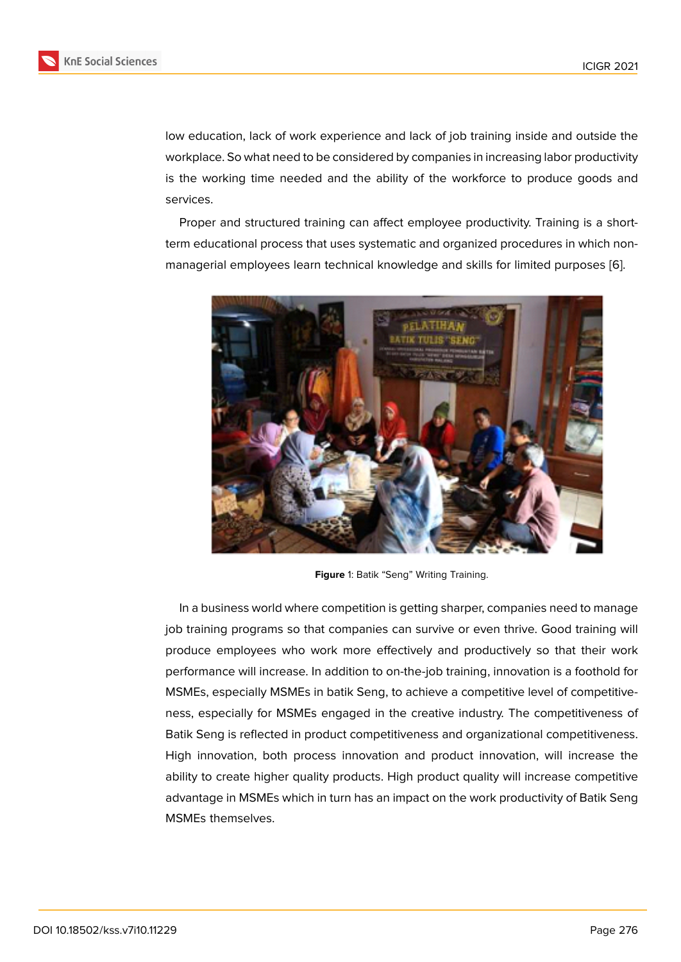low education, lack of work experience and lack of job training inside and outside the workplace. So what need to be considered by companies in increasing labor productivity is the working time needed and the ability of the workforce to produce goods and services.

Proper and structured training can affect employee productivity. Training is a shortterm educational process that uses systematic and organized procedures in which nonmanagerial employees learn technical knowledge and skills for limited purposes [6].



**Figure** 1: Batik "Seng" Writing Training.

In a business world where competition is getting sharper, companies need to manage job training programs so that companies can survive or even thrive. Good training will produce employees who work more effectively and productively so that their work performance will increase. In addition to on-the-job training, innovation is a foothold for MSMEs, especially MSMEs in batik Seng, to achieve a competitive level of competitiveness, especially for MSMEs engaged in the creative industry. The competitiveness of Batik Seng is reflected in product competitiveness and organizational competitiveness. High innovation, both process innovation and product innovation, will increase the ability to create higher quality products. High product quality will increase competitive advantage in MSMEs which in turn has an impact on the work productivity of Batik Seng MSMEs themselves.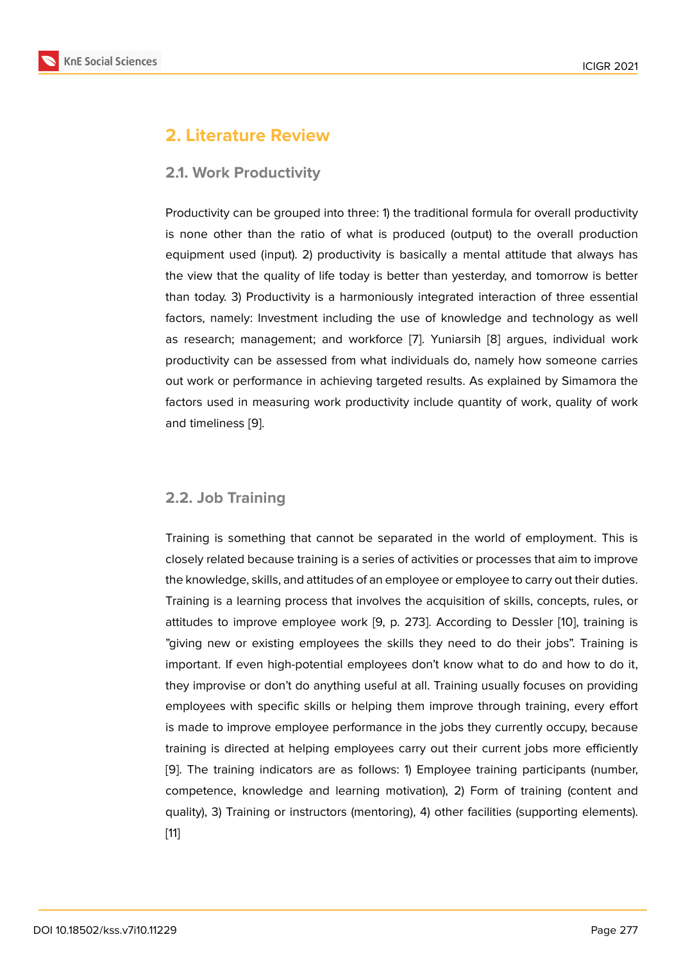# **2. Literature Review**

### **2.1. Work Productivity**

Productivity can be grouped into three: 1) the traditional formula for overall productivity is none other than the ratio of what is produced (output) to the overall production equipment used (input). 2) productivity is basically a mental attitude that always has the view that the quality of life today is better than yesterday, and tomorrow is better than today. 3) Productivity is a harmoniously integrated interaction of three essential factors, namely: Investment including the use of knowledge and technology as well as research; management; and workforce [7]. Yuniarsih [8] argues, individual work productivity can be assessed from what individuals do, namely how someone carries out work or performance in achieving targeted results. As explained by Simamora the factors used in measuring work productivity [in](#page-7-4)clude quant[ity](#page-7-5) of work, quality of work and timeliness [9].

### **2.2. Job Training**

Training is something that cannot be separated in the world of employment. This is closely related because training is a series of activities or processes that aim to improve the knowledge, skills, and attitudes of an employee or employee to carry out their duties. Training is a learning process that involves the acquisition of skills, concepts, rules, or attitudes to improve employee work [9, p. 273]. According to Dessler [10], training is "giving new or existing employees the skills they need to do their jobs". Training is important. If even high-potential employees don't know what to do and how to do it, they improvise or don't do anything useful at all. Training usually focuse[s o](#page-7-6)n providing employees with specific skills or helping them improve through training, every effort is made to improve employee performance in the jobs they currently occupy, because training is directed at helping employees carry out their current jobs more efficiently [9]. The training indicators are as follows: 1) Employee training participants (number, competence, knowledge and learning motivation), 2) Form of training (content and quality), 3) Training or instructors (mentoring), 4) other facilities (supporting elements). [[11](#page-7-7)]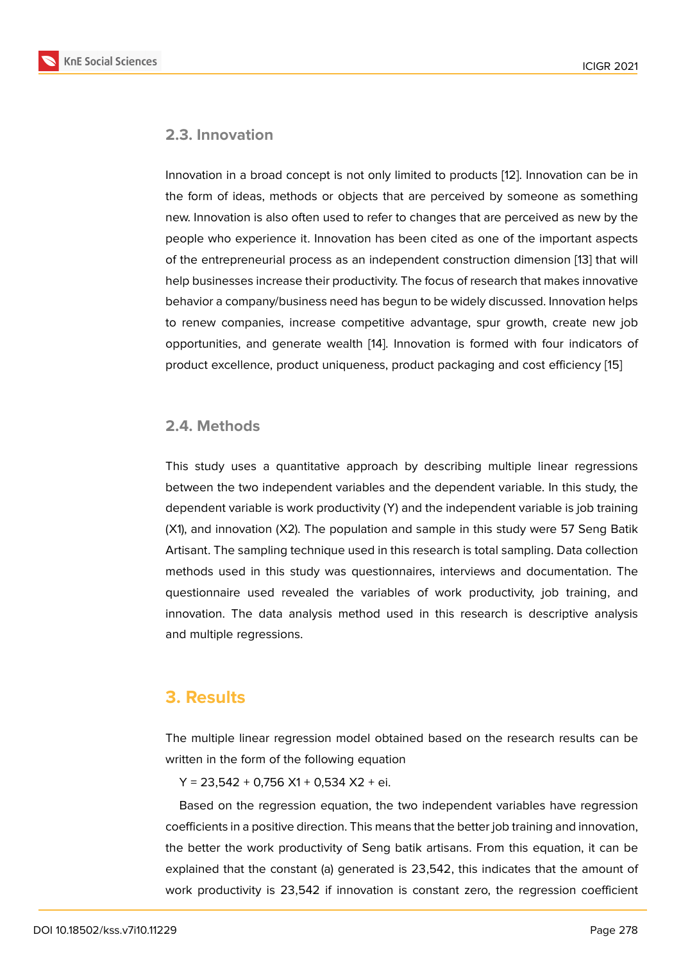#### **2.3. Innovation**

Innovation in a broad concept is not only limited to products [12]. Innovation can be in the form of ideas, methods or objects that are perceived by someone as something new. Innovation is also often used to refer to changes that are perceived as new by the people who experience it. Innovation has been cited as one [of](#page-7-8) the important aspects of the entrepreneurial process as an independent construction dimension [13] that will help businesses increase their productivity. The focus of research that makes innovative behavior a company/business need has begun to be widely discussed. Innovation helps to renew companies, increase competitive advantage, spur growth, crea[te](#page-7-9) new job opportunities, and generate wealth [14]. Innovation is formed with four indicators of product excellence, product uniqueness, product packaging and cost efficiency [15]

#### **2.4. Methods**

This study uses a quantitative approach by describing multiple linear regressions between the two independent variables and the dependent variable. In this study, the dependent variable is work productivity (Y) and the independent variable is job training (X1), and innovation (X2). The population and sample in this study were 57 Seng Batik Artisant. The sampling technique used in this research is total sampling. Data collection methods used in this study was questionnaires, interviews and documentation. The questionnaire used revealed the variables of work productivity, job training, and innovation. The data analysis method used in this research is descriptive analysis and multiple regressions.

# **3. Results**

The multiple linear regression model obtained based on the research results can be written in the form of the following equation

 $Y = 23,542 + 0,756 + 0,534 + 2 + 0.$ 

Based on the regression equation, the two independent variables have regression coefficients in a positive direction. This means that the better job training and innovation, the better the work productivity of Seng batik artisans. From this equation, it can be explained that the constant (a) generated is 23,542, this indicates that the amount of work productivity is 23,542 if innovation is constant zero, the regression coefficient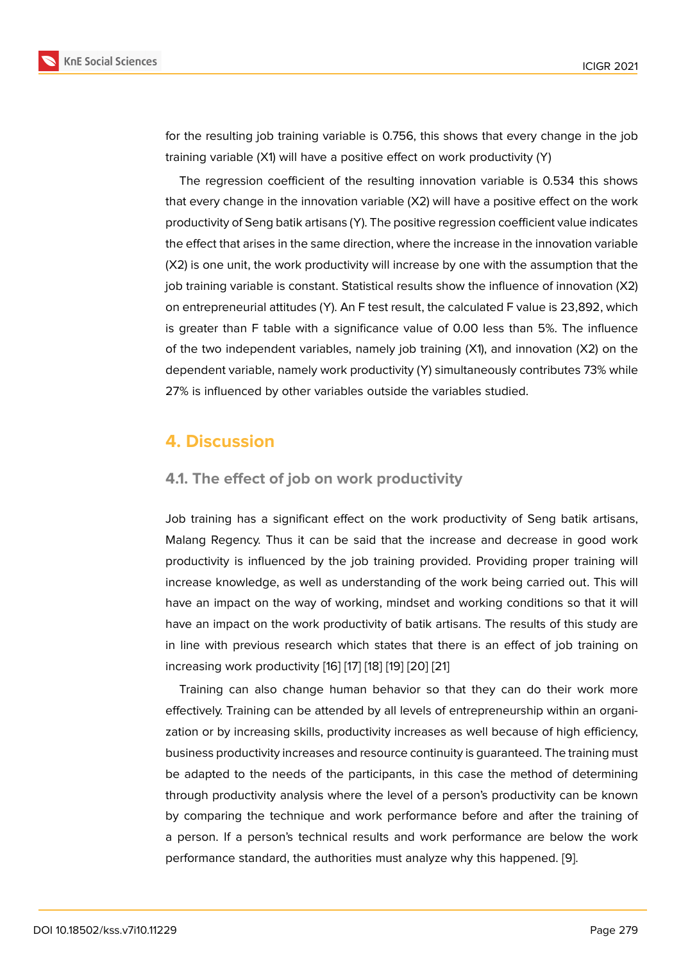for the resulting job training variable is 0.756, this shows that every change in the job training variable (X1) will have a positive effect on work productivity (Y)

The regression coefficient of the resulting innovation variable is 0.534 this shows that every change in the innovation variable (X2) will have a positive effect on the work productivity of Seng batik artisans (Y). The positive regression coefficient value indicates the effect that arises in the same direction, where the increase in the innovation variable (X2) is one unit, the work productivity will increase by one with the assumption that the job training variable is constant. Statistical results show the influence of innovation (X2) on entrepreneurial attitudes (Y). An F test result, the calculated F value is 23,892, which is greater than F table with a significance value of 0.00 less than 5%. The influence of the two independent variables, namely job training (X1), and innovation (X2) on the dependent variable, namely work productivity (Y) simultaneously contributes 73% while 27% is influenced by other variables outside the variables studied.

# **4. Discussion**

### **4.1. The effect of job on work productivity**

Job training has a significant effect on the work productivity of Seng batik artisans, Malang Regency. Thus it can be said that the increase and decrease in good work productivity is influenced by the job training provided. Providing proper training will increase knowledge, as well as understanding of the work being carried out. This will have an impact on the way of working, mindset and working conditions so that it will have an impact on the work productivity of batik artisans. The results of this study are in line with previous research which states that there is an effect of job training on increasing work productivity [16] [17] [18] [19] [20] [21]

Training can also change human behavior so that they can do their work more effectively. Training can be attended by all levels of entrepreneurship within an organization or by increasing skills, [pro](#page-7-10)[du](#page-8-0)c[tivi](#page-8-1)t[y in](#page-8-2)[crea](#page-8-3)s[es](#page-8-4) as well because of high efficiency, business productivity increases and resource continuity is guaranteed. The training must be adapted to the needs of the participants, in this case the method of determining through productivity analysis where the level of a person's productivity can be known by comparing the technique and work performance before and after the training of a person. If a person's technical results and work performance are below the work performance standard, the authorities must analyze why this happened. [9].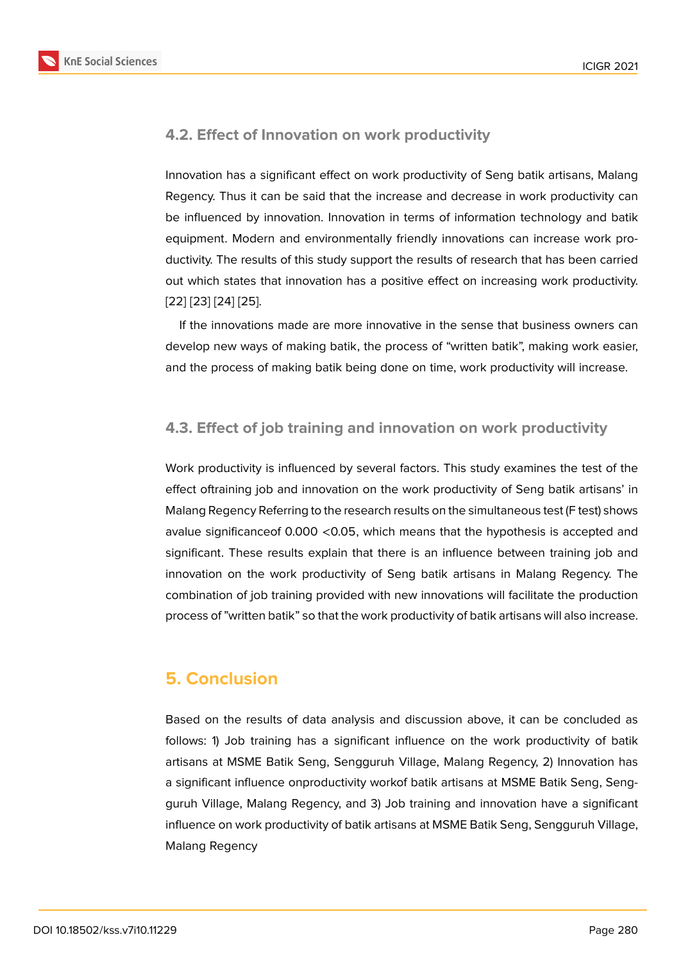### **4.2. Effect of Innovation on work productivity**

Innovation has a significant effect on work productivity of Seng batik artisans, Malang Regency. Thus it can be said that the increase and decrease in work productivity can be influenced by innovation. Innovation in terms of information technology and batik equipment. Modern and environmentally friendly innovations can increase work productivity. The results of this study support the results of research that has been carried out which states that innovation has a positive effect on increasing work productivity. [22] [23] [24] [25].

If the innovations made are more innovative in the sense that business owners can develop new ways of making batik, the process of "written batik", making work easier, [and](#page-8-5) [the](#page-8-6) [proc](#page-8-7)[ess](#page-8-8) of making batik being done on time, work productivity will increase.

### **4.3. Effect of job training and innovation on work productivity**

Work productivity is influenced by several factors. This study examines the test of the effect oftraining job and innovation on the work productivity of Seng batik artisans' in Malang Regency Referring to the research results on the simultaneous test (F test) shows avalue significanceof 0.000 <0.05, which means that the hypothesis is accepted and significant. These results explain that there is an influence between training job and innovation on the work productivity of Seng batik artisans in Malang Regency. The combination of job training provided with new innovations will facilitate the production process of "written batik" so that the work productivity of batik artisans will also increase.

# **5. Conclusion**

Based on the results of data analysis and discussion above, it can be concluded as follows: 1) Job training has a significant influence on the work productivity of batik artisans at MSME Batik Seng, Sengguruh Village, Malang Regency, 2) Innovation has a significant influence onproductivity workof batik artisans at MSME Batik Seng, Sengguruh Village, Malang Regency, and 3) Job training and innovation have a significant influence on work productivity of batik artisans at MSME Batik Seng, Sengguruh Village, Malang Regency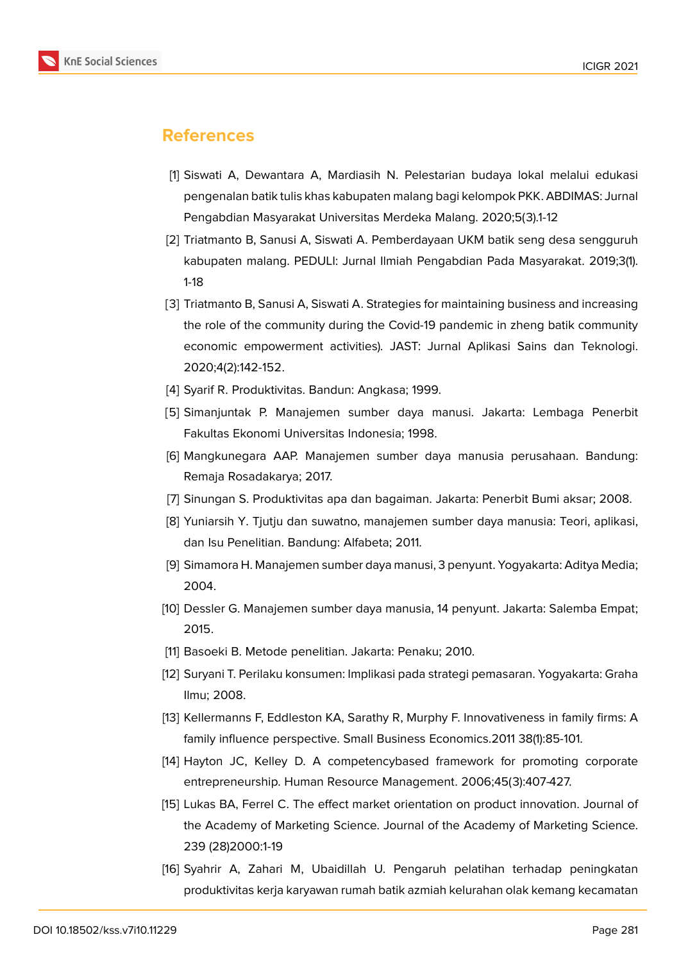

# **References**

- <span id="page-7-0"></span>[1] Siswati A, Dewantara A, Mardiasih N. Pelestarian budaya lokal melalui edukasi pengenalan batik tulis khas kabupaten malang bagi kelompok PKK. ABDIMAS: Jurnal Pengabdian Masyarakat Universitas Merdeka Malang. 2020;5(3).1-12
- <span id="page-7-1"></span>[2] Triatmanto B, Sanusi A, Siswati A. Pemberdayaan UKM batik seng desa sengguruh kabupaten malang. PEDULI: Jurnal Ilmiah Pengabdian Pada Masyarakat. 2019;3(1). 1-18
- <span id="page-7-2"></span>[3] Triatmanto B, Sanusi A, Siswati A. Strategies for maintaining business and increasing the role of the community during the Covid-19 pandemic in zheng batik community economic empowerment activities). JAST: Jurnal Aplikasi Sains dan Teknologi. 2020;4(2):142-152.
- <span id="page-7-3"></span>[4] Syarif R. Produktivitas. Bandun: Angkasa; 1999.
- [5] Simanjuntak P. Manajemen sumber daya manusi. Jakarta: Lembaga Penerbit Fakultas Ekonomi Universitas Indonesia; 1998.
- [6] Mangkunegara AAP. Manajemen sumber daya manusia perusahaan. Bandung: Remaja Rosadakarya; 2017.
- <span id="page-7-4"></span>[7] Sinungan S. Produktivitas apa dan bagaiman. Jakarta: Penerbit Bumi aksar; 2008.
- <span id="page-7-5"></span>[8] Yuniarsih Y. Tjutju dan suwatno, manajemen sumber daya manusia: Teori, aplikasi, dan Isu Penelitian. Bandung: Alfabeta; 2011.
- <span id="page-7-7"></span>[9] Simamora H. Manajemen sumber daya manusi, 3 penyunt. Yogyakarta: Aditya Media; 2004.
- <span id="page-7-6"></span>[10] Dessler G. Manajemen sumber daya manusia, 14 penyunt. Jakarta: Salemba Empat; 2015.
- <span id="page-7-8"></span>[11] Basoeki B. Metode penelitian. Jakarta: Penaku; 2010.
- [12] Suryani T. Perilaku konsumen: Implikasi pada strategi pemasaran. Yogyakarta: Graha Ilmu; 2008.
- <span id="page-7-9"></span>[13] Kellermanns F, Eddleston KA, Sarathy R, Murphy F. Innovativeness in family firms: A family influence perspective. Small Business Economics.2011 38(1):85-101.
- [14] Hayton JC, Kelley D. A competencybased framework for promoting corporate entrepreneurship. Human Resource Management. 2006;45(3):407-427.
- [15] Lukas BA, Ferrel C. The effect market orientation on product innovation. Journal of the Academy of Marketing Science. Journal of the Academy of Marketing Science. 239 (28)2000:1-19
- <span id="page-7-10"></span>[16] Syahrir A, Zahari M, Ubaidillah U. Pengaruh pelatihan terhadap peningkatan produktivitas kerja karyawan rumah batik azmiah kelurahan olak kemang kecamatan